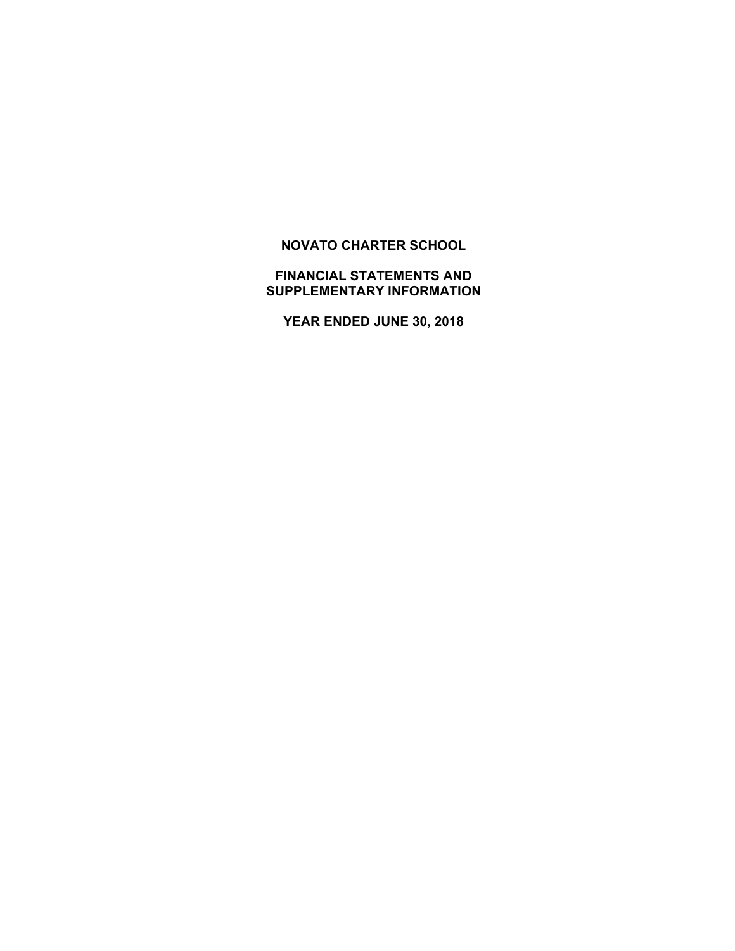## **NOVATO CHARTER SCHOOL**

## **FINANCIAL STATEMENTS AND SUPPLEMENTARY INFORMATION**

**YEAR ENDED JUNE 30, 2018**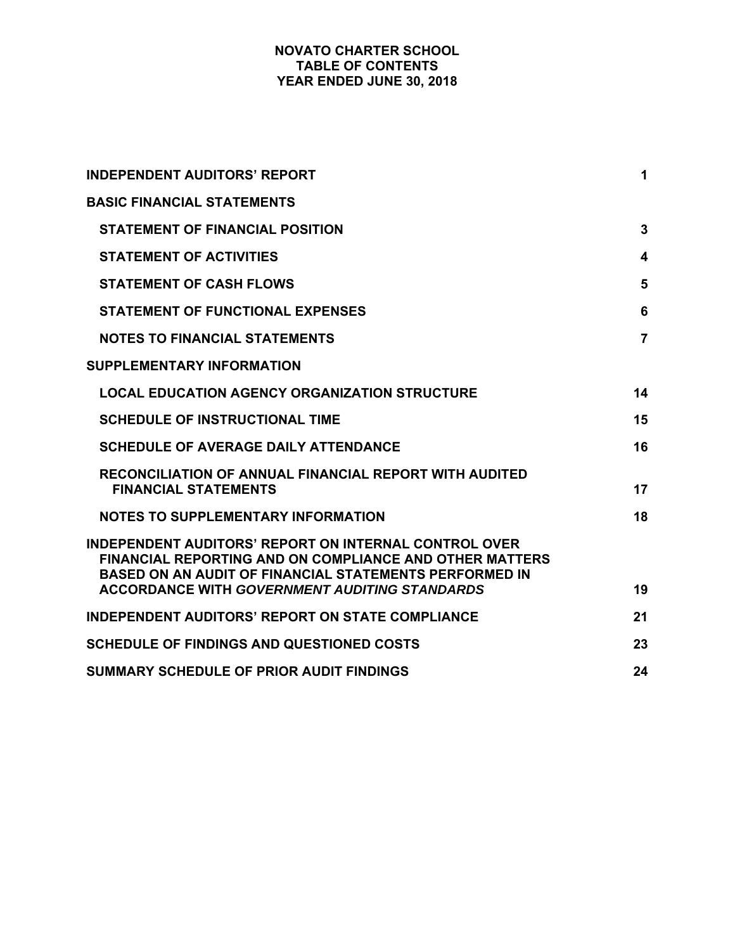## **NOVATO CHARTER SCHOOL TABLE OF CONTENTS YEAR ENDED JUNE 30, 2018**

| <b>INDEPENDENT AUDITORS' REPORT</b>                                                                                                                                                                                                                     | 1               |
|---------------------------------------------------------------------------------------------------------------------------------------------------------------------------------------------------------------------------------------------------------|-----------------|
| <b>BASIC FINANCIAL STATEMENTS</b>                                                                                                                                                                                                                       |                 |
| <b>STATEMENT OF FINANCIAL POSITION</b>                                                                                                                                                                                                                  | $\mathbf{3}$    |
| <b>STATEMENT OF ACTIVITIES</b>                                                                                                                                                                                                                          | 4               |
| <b>STATEMENT OF CASH FLOWS</b>                                                                                                                                                                                                                          | 5               |
| <b>STATEMENT OF FUNCTIONAL EXPENSES</b>                                                                                                                                                                                                                 | $6\phantom{1}6$ |
| <b>NOTES TO FINANCIAL STATEMENTS</b>                                                                                                                                                                                                                    | $\overline{7}$  |
| <b>SUPPLEMENTARY INFORMATION</b>                                                                                                                                                                                                                        |                 |
| <b>LOCAL EDUCATION AGENCY ORGANIZATION STRUCTURE</b>                                                                                                                                                                                                    | 14              |
| <b>SCHEDULE OF INSTRUCTIONAL TIME</b>                                                                                                                                                                                                                   | 15              |
| <b>SCHEDULE OF AVERAGE DAILY ATTENDANCE</b>                                                                                                                                                                                                             | 16              |
| <b>RECONCILIATION OF ANNUAL FINANCIAL REPORT WITH AUDITED</b><br><b>FINANCIAL STATEMENTS</b>                                                                                                                                                            | 17              |
| <b>NOTES TO SUPPLEMENTARY INFORMATION</b>                                                                                                                                                                                                               | 18              |
| <b>INDEPENDENT AUDITORS' REPORT ON INTERNAL CONTROL OVER</b><br><b>FINANCIAL REPORTING AND ON COMPLIANCE AND OTHER MATTERS</b><br><b>BASED ON AN AUDIT OF FINANCIAL STATEMENTS PERFORMED IN</b><br><b>ACCORDANCE WITH GOVERNMENT AUDITING STANDARDS</b> | 19              |
| <b>INDEPENDENT AUDITORS' REPORT ON STATE COMPLIANCE</b>                                                                                                                                                                                                 | 21              |
| <b>SCHEDULE OF FINDINGS AND QUESTIONED COSTS</b>                                                                                                                                                                                                        | 23              |
| <b>SUMMARY SCHEDULE OF PRIOR AUDIT FINDINGS</b>                                                                                                                                                                                                         |                 |
|                                                                                                                                                                                                                                                         | 24              |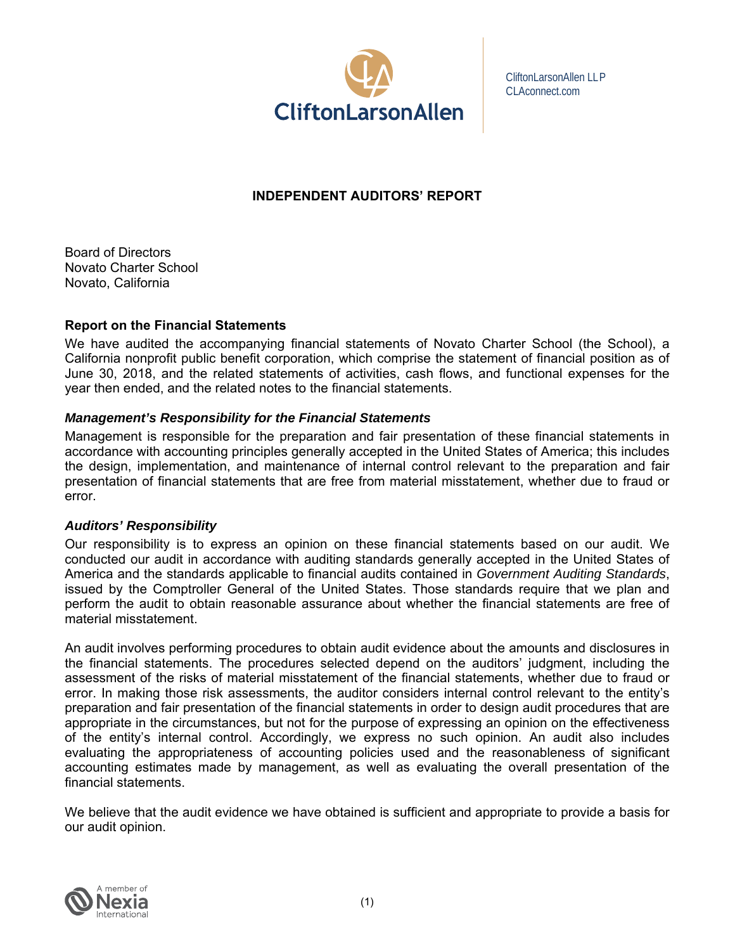

CliftonLarsonAllen LLP CLAconnect.com

## **INDEPENDENT AUDITORS' REPORT**

Board of Directors Novato Charter School Novato, California

## **Report on the Financial Statements**

We have audited the accompanying financial statements of Novato Charter School (the School), a California nonprofit public benefit corporation, which comprise the statement of financial position as of June 30, 2018, and the related statements of activities, cash flows, and functional expenses for the year then ended, and the related notes to the financial statements.

## *Management's Responsibility for the Financial Statements*

Management is responsible for the preparation and fair presentation of these financial statements in accordance with accounting principles generally accepted in the United States of America; this includes the design, implementation, and maintenance of internal control relevant to the preparation and fair presentation of financial statements that are free from material misstatement, whether due to fraud or error.

#### *Auditors' Responsibility*

Our responsibility is to express an opinion on these financial statements based on our audit. We conducted our audit in accordance with auditing standards generally accepted in the United States of America and the standards applicable to financial audits contained in *Government Auditing Standards*, issued by the Comptroller General of the United States. Those standards require that we plan and perform the audit to obtain reasonable assurance about whether the financial statements are free of material misstatement.

An audit involves performing procedures to obtain audit evidence about the amounts and disclosures in the financial statements. The procedures selected depend on the auditors' judgment, including the assessment of the risks of material misstatement of the financial statements, whether due to fraud or error. In making those risk assessments, the auditor considers internal control relevant to the entity's preparation and fair presentation of the financial statements in order to design audit procedures that are appropriate in the circumstances, but not for the purpose of expressing an opinion on the effectiveness of the entity's internal control. Accordingly, we express no such opinion. An audit also includes evaluating the appropriateness of accounting policies used and the reasonableness of significant accounting estimates made by management, as well as evaluating the overall presentation of the financial statements.

We believe that the audit evidence we have obtained is sufficient and appropriate to provide a basis for our audit opinion.

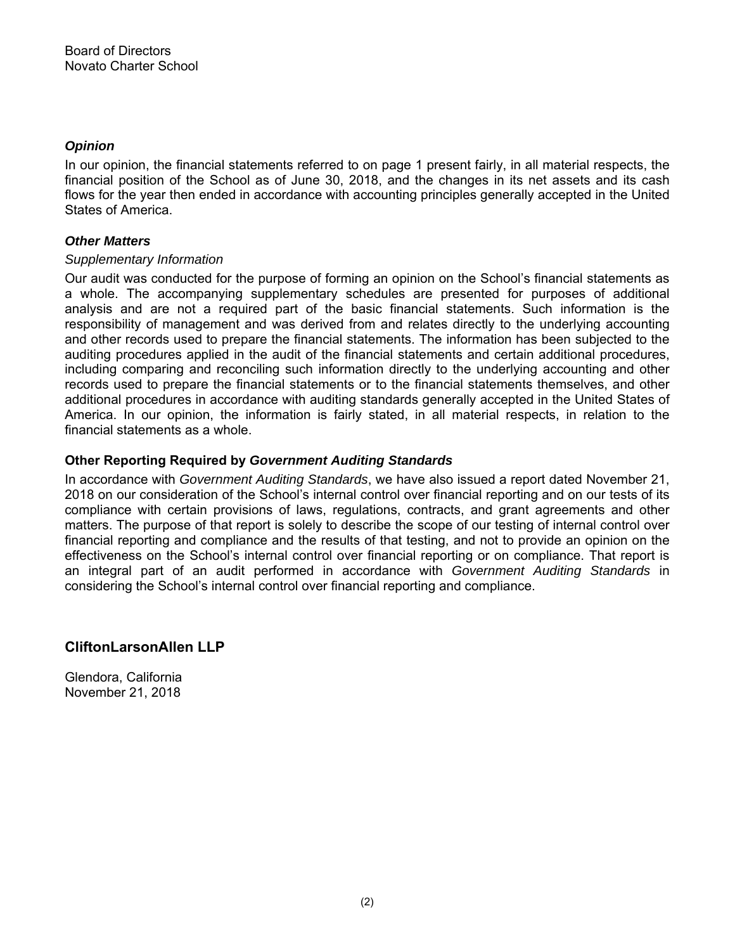## *Opinion*

In our opinion, the financial statements referred to on page 1 present fairly, in all material respects, the financial position of the School as of June 30, 2018, and the changes in its net assets and its cash flows for the year then ended in accordance with accounting principles generally accepted in the United States of America.

## *Other Matters*

## *Supplementary Information*

Our audit was conducted for the purpose of forming an opinion on the School's financial statements as a whole. The accompanying supplementary schedules are presented for purposes of additional analysis and are not a required part of the basic financial statements. Such information is the responsibility of management and was derived from and relates directly to the underlying accounting and other records used to prepare the financial statements. The information has been subjected to the auditing procedures applied in the audit of the financial statements and certain additional procedures, including comparing and reconciling such information directly to the underlying accounting and other records used to prepare the financial statements or to the financial statements themselves, and other additional procedures in accordance with auditing standards generally accepted in the United States of America. In our opinion, the information is fairly stated, in all material respects, in relation to the financial statements as a whole.

## **Other Reporting Required by** *Government Auditing Standards*

In accordance with *Government Auditing Standards*, we have also issued a report dated November 21, 2018 on our consideration of the School's internal control over financial reporting and on our tests of its compliance with certain provisions of laws, regulations, contracts, and grant agreements and other matters. The purpose of that report is solely to describe the scope of our testing of internal control over financial reporting and compliance and the results of that testing, and not to provide an opinion on the effectiveness on the School's internal control over financial reporting or on compliance. That report is an integral part of an audit performed in accordance with *Government Auditing Standards* in considering the School's internal control over financial reporting and compliance.

## **CliftonLarsonAllen LLP**

Glendora, California November 21, 2018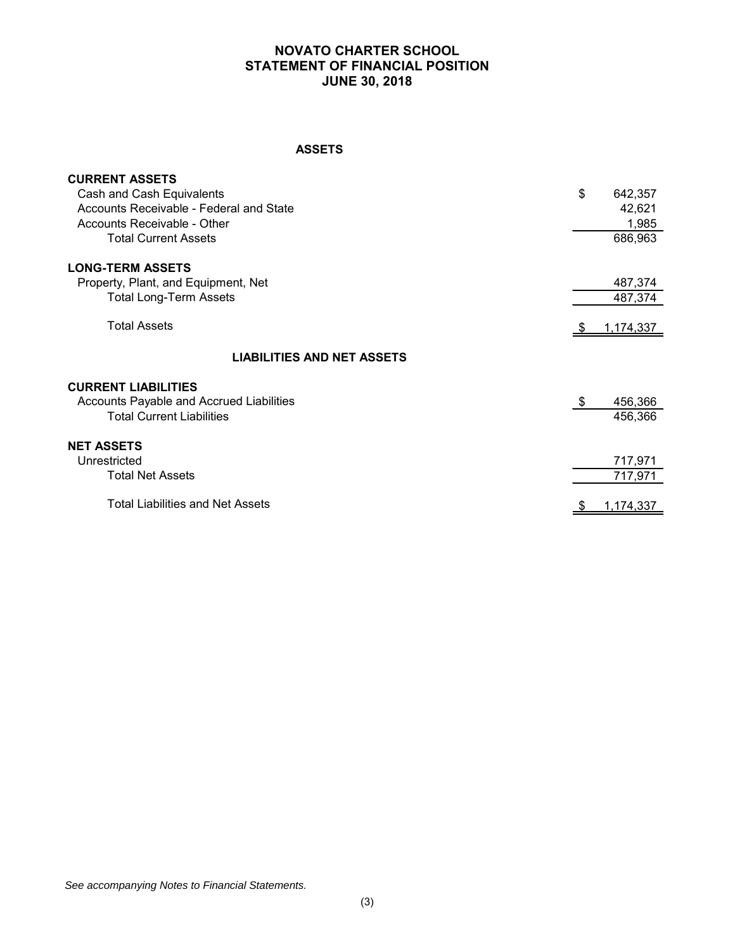## **NOVATO CHARTER SCHOOL STATEMENT OF FINANCIAL POSITION JUNE 30, 2018**

#### **ASSETS**

| <b>CURRENT ASSETS</b>                    |                   |           |
|------------------------------------------|-------------------|-----------|
| Cash and Cash Equivalents                | \$                | 642,357   |
| Accounts Receivable - Federal and State  |                   | 42,621    |
| Accounts Receivable - Other              |                   | 1,985     |
| <b>Total Current Assets</b>              |                   | 686,963   |
| <b>LONG-TERM ASSETS</b>                  |                   |           |
| Property, Plant, and Equipment, Net      |                   | 487,374   |
| <b>Total Long-Term Assets</b>            |                   | 487,374   |
| <b>Total Assets</b>                      |                   | 1,174,337 |
| <b>LIABILITIES AND NET ASSETS</b>        |                   |           |
| <b>CURRENT LIABILITIES</b>               |                   |           |
| Accounts Payable and Accrued Liabilities | $\overline{\Phi}$ | 456,366   |
| <b>Total Current Liabilities</b>         |                   | 456,366   |
| <b>NET ASSETS</b>                        |                   |           |
| Unrestricted                             |                   | 717,971   |
| <b>Total Net Assets</b>                  |                   | 717,971   |
| <b>Total Liabilities and Net Assets</b>  |                   | 1,174,337 |
|                                          |                   |           |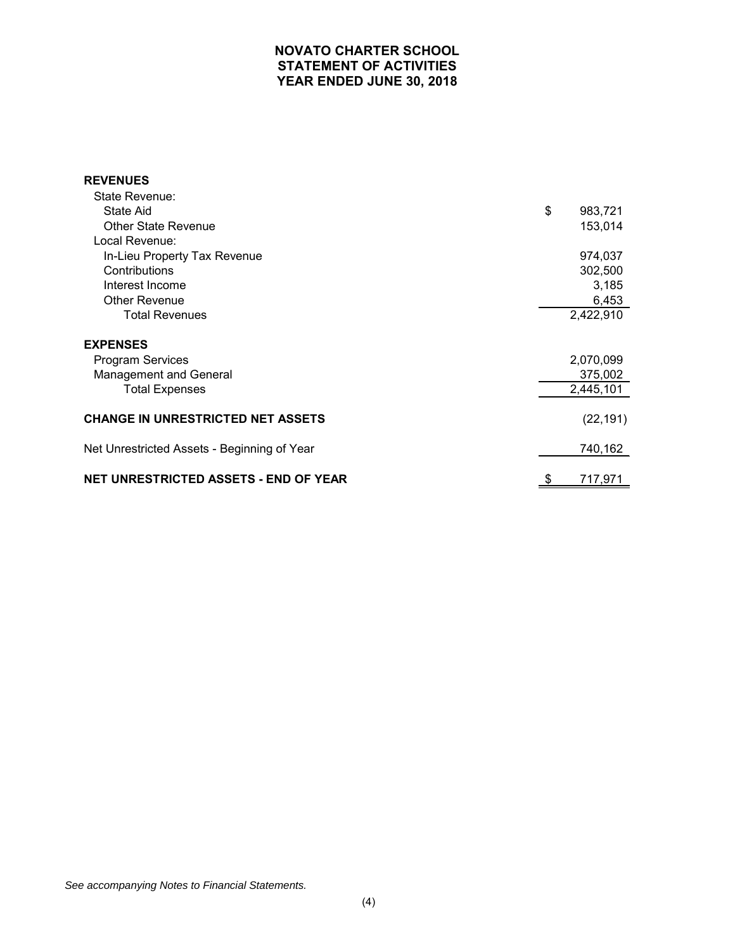## **NOVATO CHARTER SCHOOL STATEMENT OF ACTIVITIES YEAR ENDED JUNE 30, 2018**

| <b>REVENUES</b>                              |               |
|----------------------------------------------|---------------|
| State Revenue:                               |               |
| State Aid                                    | \$<br>983,721 |
| <b>Other State Revenue</b>                   | 153,014       |
| Local Revenue:                               |               |
| In-Lieu Property Tax Revenue                 | 974,037       |
| Contributions                                | 302,500       |
| Interest Income                              | 3,185         |
| <b>Other Revenue</b>                         | 6,453         |
| <b>Total Revenues</b>                        | 2,422,910     |
| <b>EXPENSES</b>                              |               |
| <b>Program Services</b>                      | 2,070,099     |
| Management and General                       | 375,002       |
| <b>Total Expenses</b>                        | 2,445,101     |
| <b>CHANGE IN UNRESTRICTED NET ASSETS</b>     | (22, 191)     |
| Net Unrestricted Assets - Beginning of Year  | 740,162       |
| <b>NET UNRESTRICTED ASSETS - END OF YEAR</b> | \$<br>717,971 |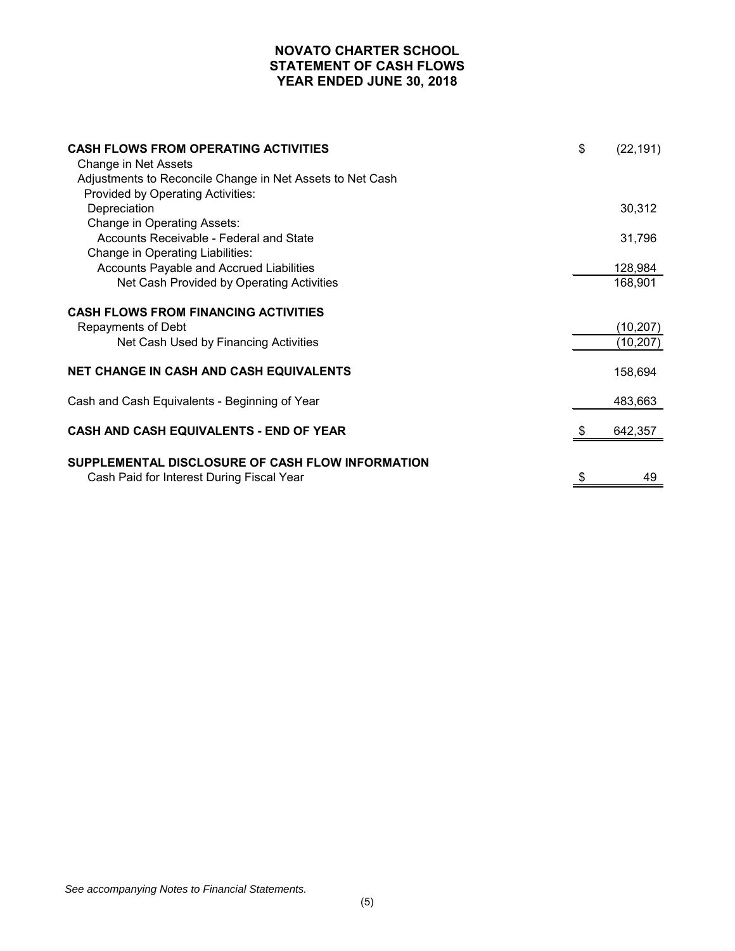## **NOVATO CHARTER SCHOOL STATEMENT OF CASH FLOWS YEAR ENDED JUNE 30, 2018**

| <b>CASH FLOWS FROM OPERATING ACTIVITIES</b><br>Change in Net Assets<br>Adjustments to Reconcile Change in Net Assets to Net Cash<br>Provided by Operating Activities: | \$ | (22, 191)              |
|-----------------------------------------------------------------------------------------------------------------------------------------------------------------------|----|------------------------|
| Depreciation                                                                                                                                                          |    | 30,312                 |
| Change in Operating Assets:<br>Accounts Receivable - Federal and State<br>Change in Operating Liabilities:                                                            |    | 31,796                 |
| Accounts Payable and Accrued Liabilities                                                                                                                              |    | 128,984                |
| Net Cash Provided by Operating Activities                                                                                                                             |    | 168,901                |
| <b>CASH FLOWS FROM FINANCING ACTIVITIES</b>                                                                                                                           |    |                        |
| Repayments of Debt<br>Net Cash Used by Financing Activities                                                                                                           |    | (10, 207)<br>(10, 207) |
|                                                                                                                                                                       |    |                        |
| <b>NET CHANGE IN CASH AND CASH EQUIVALENTS</b>                                                                                                                        |    | 158,694                |
| Cash and Cash Equivalents - Beginning of Year                                                                                                                         |    | 483,663                |
| <b>CASH AND CASH EQUIVALENTS - END OF YEAR</b>                                                                                                                        |    | 642,357                |
| SUPPLEMENTAL DISCLOSURE OF CASH FLOW INFORMATION<br>Cash Paid for Interest During Fiscal Year                                                                         | S  | 49                     |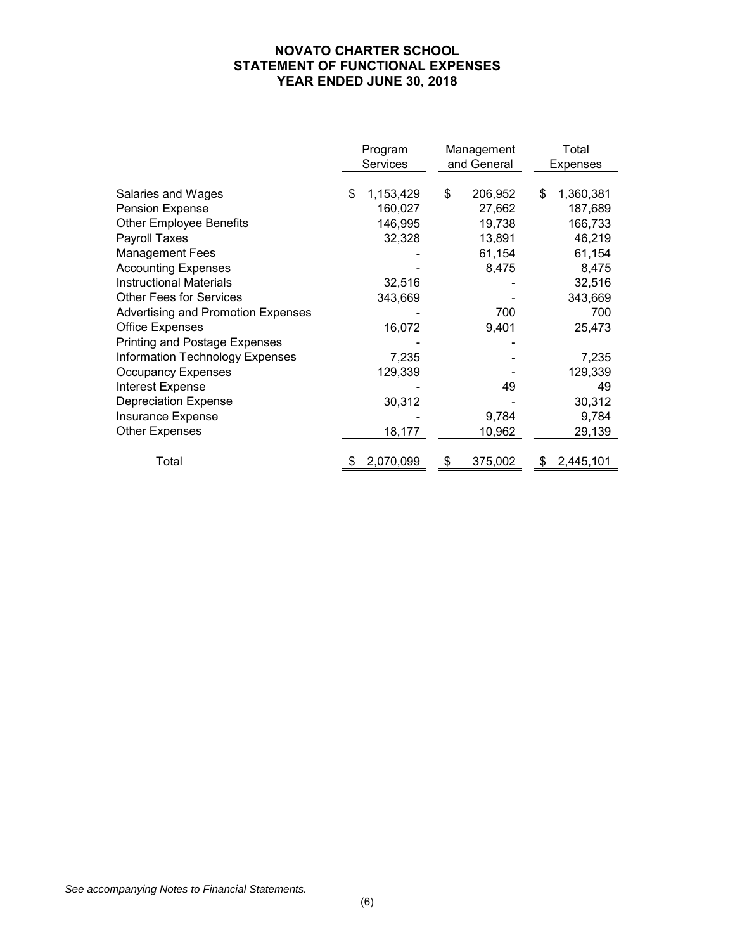## **NOVATO CHARTER SCHOOL STATEMENT OF FUNCTIONAL EXPENSES YEAR ENDED JUNE 30, 2018**

|                                        | Program<br>Management<br><b>Services</b><br>and General |           | Total<br><b>Expenses</b> |         |    |           |
|----------------------------------------|---------------------------------------------------------|-----------|--------------------------|---------|----|-----------|
|                                        |                                                         |           |                          |         |    |           |
| Salaries and Wages                     | \$                                                      | 1,153,429 | \$                       | 206,952 | \$ | 1,360,381 |
| Pension Expense                        |                                                         | 160,027   |                          | 27,662  |    | 187,689   |
| <b>Other Employee Benefits</b>         |                                                         | 146,995   |                          | 19,738  |    | 166,733   |
| Payroll Taxes                          |                                                         | 32,328    |                          | 13,891  |    | 46,219    |
| <b>Management Fees</b>                 |                                                         |           |                          | 61,154  |    | 61,154    |
| <b>Accounting Expenses</b>             |                                                         |           |                          | 8,475   |    | 8,475     |
| <b>Instructional Materials</b>         |                                                         | 32,516    |                          |         |    | 32,516    |
| <b>Other Fees for Services</b>         |                                                         | 343,669   |                          |         |    | 343,669   |
| Advertising and Promotion Expenses     |                                                         |           |                          | 700     |    | 700       |
| <b>Office Expenses</b>                 |                                                         | 16,072    |                          | 9,401   |    | 25,473    |
| Printing and Postage Expenses          |                                                         |           |                          |         |    |           |
| <b>Information Technology Expenses</b> |                                                         | 7,235     |                          |         |    | 7,235     |
| <b>Occupancy Expenses</b>              |                                                         | 129,339   |                          |         |    | 129,339   |
| <b>Interest Expense</b>                |                                                         |           |                          | 49      |    | 49        |
| <b>Depreciation Expense</b>            |                                                         | 30,312    |                          |         |    | 30,312    |
| <b>Insurance Expense</b>               |                                                         |           |                          | 9,784   |    | 9,784     |
| <b>Other Expenses</b>                  |                                                         | 18,177    |                          | 10,962  |    | 29,139    |
|                                        |                                                         |           |                          |         |    |           |
| Total                                  |                                                         | 2,070,099 | S                        | 375,002 |    | 2,445,101 |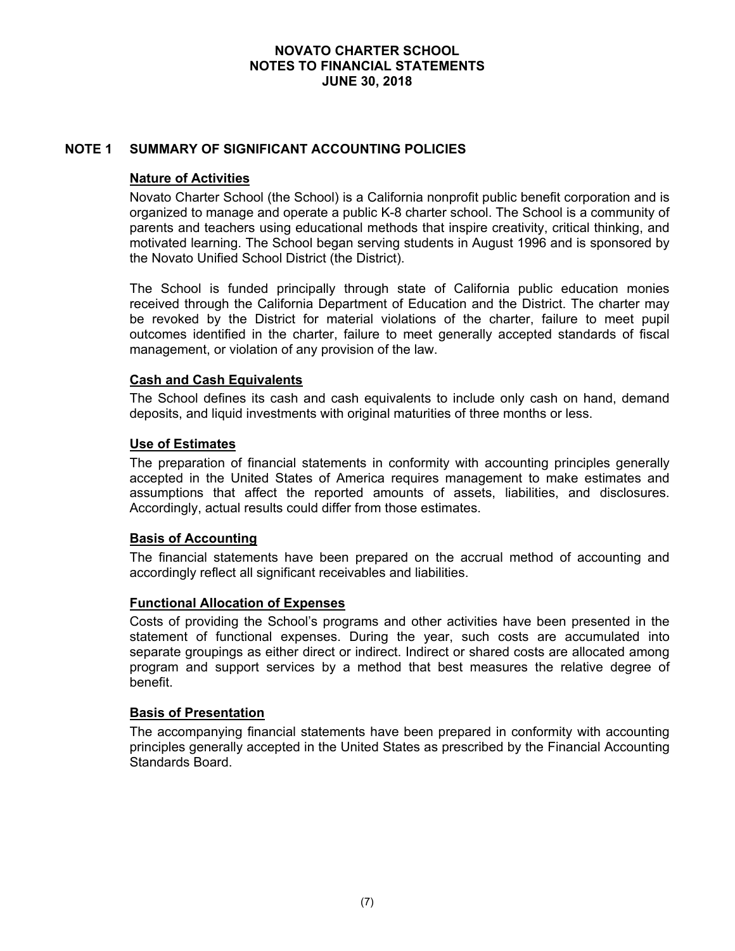## **NOTE 1 SUMMARY OF SIGNIFICANT ACCOUNTING POLICIES**

## **Nature of Activities**

Novato Charter School (the School) is a California nonprofit public benefit corporation and is organized to manage and operate a public K-8 charter school. The School is a community of parents and teachers using educational methods that inspire creativity, critical thinking, and motivated learning. The School began serving students in August 1996 and is sponsored by the Novato Unified School District (the District).

The School is funded principally through state of California public education monies received through the California Department of Education and the District. The charter may be revoked by the District for material violations of the charter, failure to meet pupil outcomes identified in the charter, failure to meet generally accepted standards of fiscal management, or violation of any provision of the law.

## **Cash and Cash Equivalents**

The School defines its cash and cash equivalents to include only cash on hand, demand deposits, and liquid investments with original maturities of three months or less.

#### **Use of Estimates**

The preparation of financial statements in conformity with accounting principles generally accepted in the United States of America requires management to make estimates and assumptions that affect the reported amounts of assets, liabilities, and disclosures. Accordingly, actual results could differ from those estimates.

#### **Basis of Accounting**

The financial statements have been prepared on the accrual method of accounting and accordingly reflect all significant receivables and liabilities.

#### **Functional Allocation of Expenses**

Costs of providing the School's programs and other activities have been presented in the statement of functional expenses. During the year, such costs are accumulated into separate groupings as either direct or indirect. Indirect or shared costs are allocated among program and support services by a method that best measures the relative degree of benefit.

#### **Basis of Presentation**

The accompanying financial statements have been prepared in conformity with accounting principles generally accepted in the United States as prescribed by the Financial Accounting Standards Board.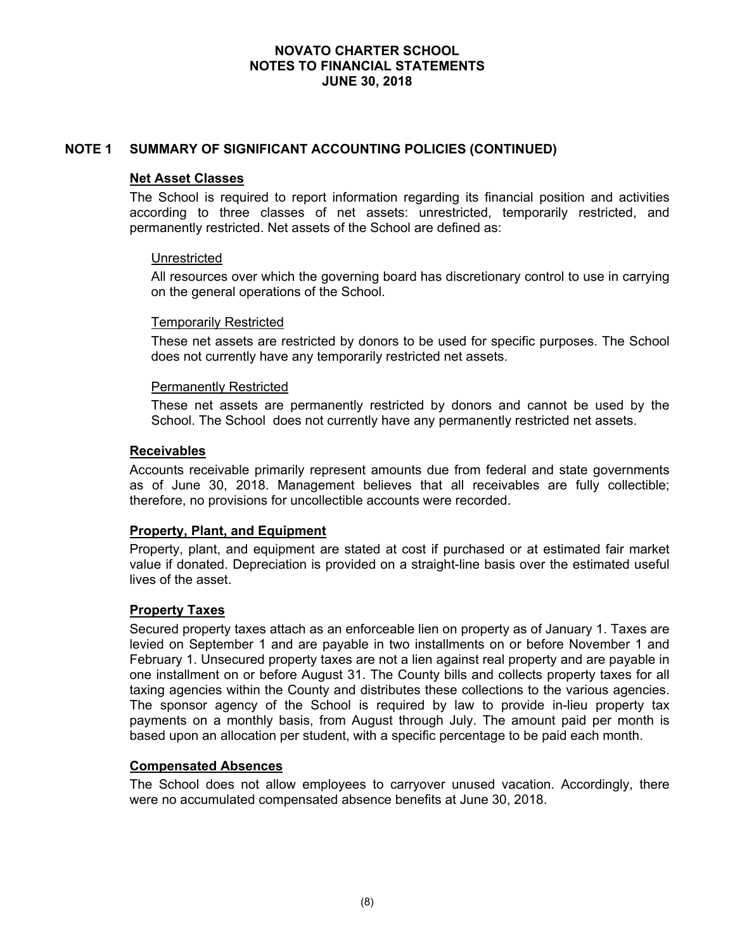## **NOTE 1 SUMMARY OF SIGNIFICANT ACCOUNTING POLICIES (CONTINUED)**

#### **Net Asset Classes**

The School is required to report information regarding its financial position and activities according to three classes of net assets: unrestricted, temporarily restricted, and permanently restricted. Net assets of the School are defined as:

#### Unrestricted

All resources over which the governing board has discretionary control to use in carrying on the general operations of the School.

#### Temporarily Restricted

These net assets are restricted by donors to be used for specific purposes. The School does not currently have any temporarily restricted net assets.

#### Permanently Restricted

These net assets are permanently restricted by donors and cannot be used by the School. The School does not currently have any permanently restricted net assets.

#### **Receivables**

Accounts receivable primarily represent amounts due from federal and state governments as of June 30, 2018. Management believes that all receivables are fully collectible; therefore, no provisions for uncollectible accounts were recorded.

#### **Property, Plant, and Equipment**

Property, plant, and equipment are stated at cost if purchased or at estimated fair market value if donated. Depreciation is provided on a straight-line basis over the estimated useful lives of the asset.

#### **Property Taxes**

Secured property taxes attach as an enforceable lien on property as of January 1. Taxes are levied on September 1 and are payable in two installments on or before November 1 and February 1. Unsecured property taxes are not a lien against real property and are payable in one installment on or before August 31. The County bills and collects property taxes for all taxing agencies within the County and distributes these collections to the various agencies. The sponsor agency of the School is required by law to provide in-lieu property tax payments on a monthly basis, from August through July. The amount paid per month is based upon an allocation per student, with a specific percentage to be paid each month.

#### **Compensated Absences**

The School does not allow employees to carryover unused vacation. Accordingly, there were no accumulated compensated absence benefits at June 30, 2018.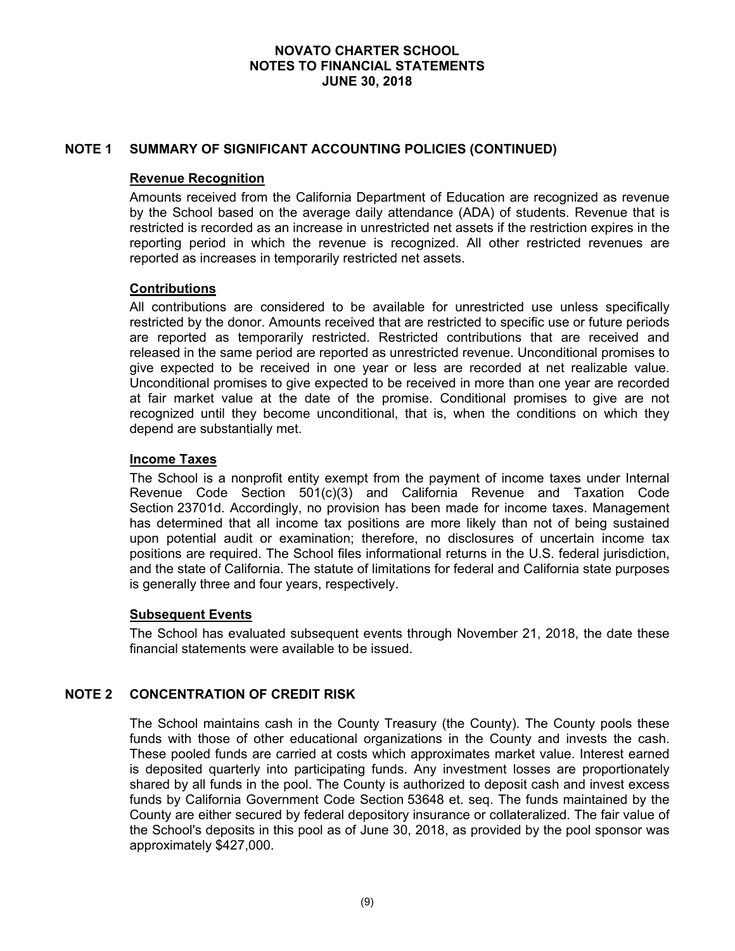## **NOTE 1 SUMMARY OF SIGNIFICANT ACCOUNTING POLICIES (CONTINUED)**

### **Revenue Recognition**

Amounts received from the California Department of Education are recognized as revenue by the School based on the average daily attendance (ADA) of students. Revenue that is restricted is recorded as an increase in unrestricted net assets if the restriction expires in the reporting period in which the revenue is recognized. All other restricted revenues are reported as increases in temporarily restricted net assets.

## **Contributions**

All contributions are considered to be available for unrestricted use unless specifically restricted by the donor. Amounts received that are restricted to specific use or future periods are reported as temporarily restricted. Restricted contributions that are received and released in the same period are reported as unrestricted revenue. Unconditional promises to give expected to be received in one year or less are recorded at net realizable value. Unconditional promises to give expected to be received in more than one year are recorded at fair market value at the date of the promise. Conditional promises to give are not recognized until they become unconditional, that is, when the conditions on which they depend are substantially met.

## **Income Taxes**

The School is a nonprofit entity exempt from the payment of income taxes under Internal Revenue Code Section 501(c)(3) and California Revenue and Taxation Code Section 23701d. Accordingly, no provision has been made for income taxes. Management has determined that all income tax positions are more likely than not of being sustained upon potential audit or examination; therefore, no disclosures of uncertain income tax positions are required. The School files informational returns in the U.S. federal jurisdiction, and the state of California. The statute of limitations for federal and California state purposes is generally three and four years, respectively.

#### **Subsequent Events**

The School has evaluated subsequent events through November 21, 2018, the date these financial statements were available to be issued.

## **NOTE 2 CONCENTRATION OF CREDIT RISK**

The School maintains cash in the County Treasury (the County). The County pools these funds with those of other educational organizations in the County and invests the cash. These pooled funds are carried at costs which approximates market value. Interest earned is deposited quarterly into participating funds. Any investment losses are proportionately shared by all funds in the pool. The County is authorized to deposit cash and invest excess funds by California Government Code Section 53648 et. seq. The funds maintained by the County are either secured by federal depository insurance or collateralized. The fair value of the School's deposits in this pool as of June 30, 2018, as provided by the pool sponsor was approximately \$427,000.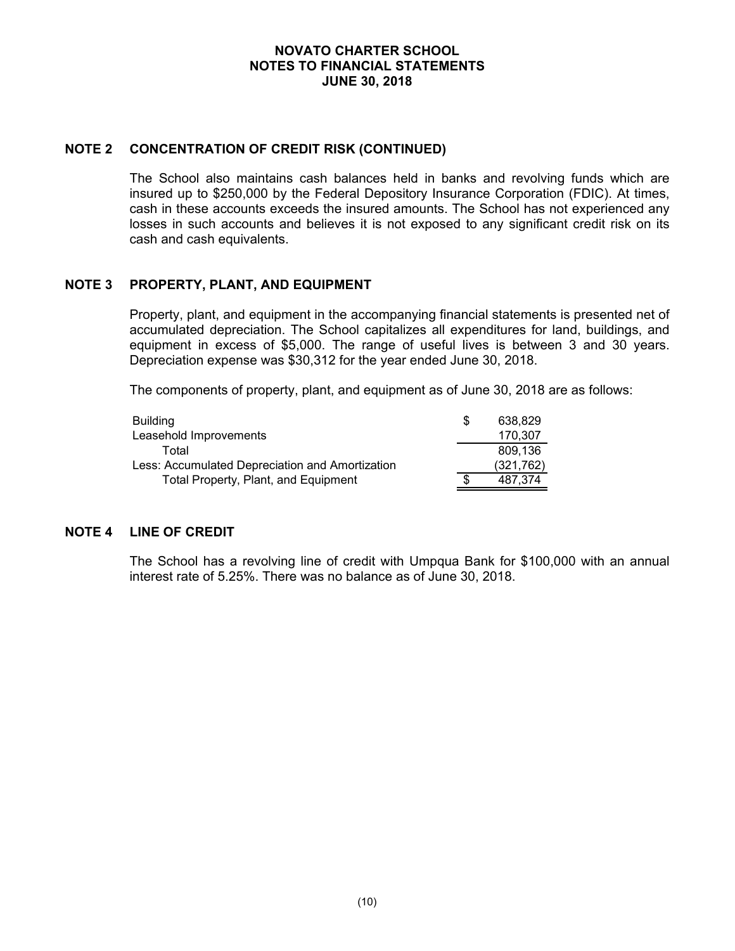### **NOTE 2 CONCENTRATION OF CREDIT RISK (CONTINUED)**

The School also maintains cash balances held in banks and revolving funds which are insured up to \$250,000 by the Federal Depository Insurance Corporation (FDIC). At times, cash in these accounts exceeds the insured amounts. The School has not experienced any losses in such accounts and believes it is not exposed to any significant credit risk on its cash and cash equivalents.

## **NOTE 3 PROPERTY, PLANT, AND EQUIPMENT**

Property, plant, and equipment in the accompanying financial statements is presented net of accumulated depreciation. The School capitalizes all expenditures for land, buildings, and equipment in excess of \$5,000. The range of useful lives is between 3 and 30 years. Depreciation expense was \$30,312 for the year ended June 30, 2018.

The components of property, plant, and equipment as of June 30, 2018 are as follows:

| Building                                        | 638.829    |
|-------------------------------------------------|------------|
| Leasehold Improvements                          | 170.307    |
| Total                                           | 809.136    |
| Less: Accumulated Depreciation and Amortization | (321, 762) |
| Total Property, Plant, and Equipment            | 487.374    |

## **NOTE 4 LINE OF CREDIT**

The School has a revolving line of credit with Umpqua Bank for \$100,000 with an annual interest rate of 5.25%. There was no balance as of June 30, 2018.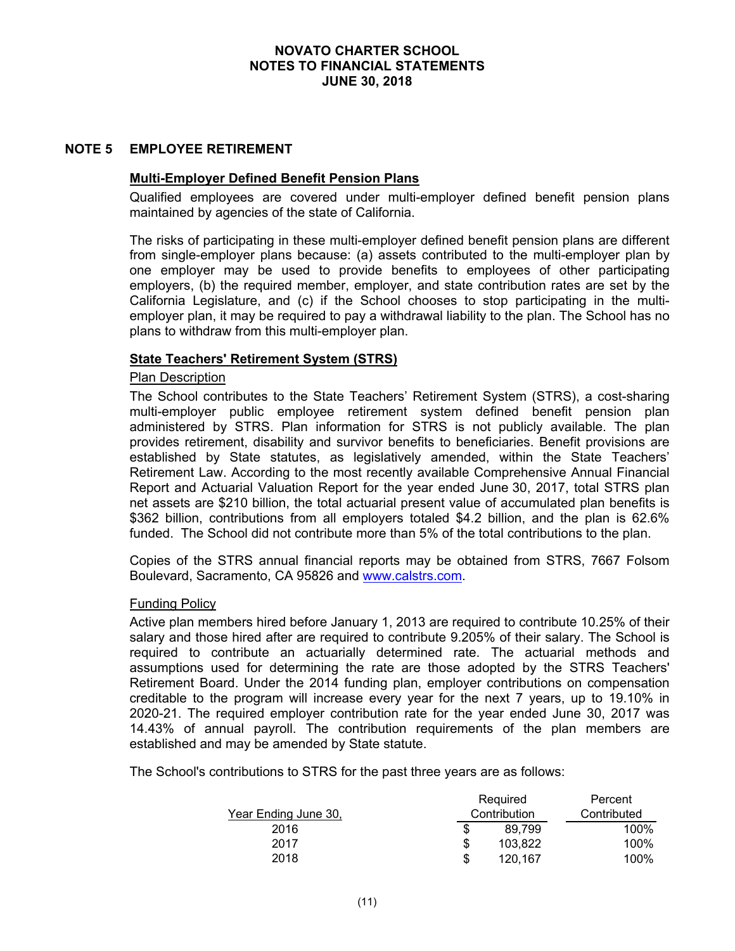#### **NOTE 5 EMPLOYEE RETIREMENT**

### **Multi-Employer Defined Benefit Pension Plans**

Qualified employees are covered under multi-employer defined benefit pension plans maintained by agencies of the state of California.

The risks of participating in these multi-employer defined benefit pension plans are different from single-employer plans because: (a) assets contributed to the multi-employer plan by one employer may be used to provide benefits to employees of other participating employers, (b) the required member, employer, and state contribution rates are set by the California Legislature, and (c) if the School chooses to stop participating in the multiemployer plan, it may be required to pay a withdrawal liability to the plan. The School has no plans to withdraw from this multi-employer plan.

## **State Teachers' Retirement System (STRS)**

#### Plan Description

The School contributes to the State Teachers' Retirement System (STRS), a cost-sharing multi-employer public employee retirement system defined benefit pension plan administered by STRS. Plan information for STRS is not publicly available. The plan provides retirement, disability and survivor benefits to beneficiaries. Benefit provisions are established by State statutes, as legislatively amended, within the State Teachers' Retirement Law. According to the most recently available Comprehensive Annual Financial Report and Actuarial Valuation Report for the year ended June 30, 2017, total STRS plan net assets are \$210 billion, the total actuarial present value of accumulated plan benefits is \$362 billion, contributions from all employers totaled \$4.2 billion, and the plan is 62.6% funded. The School did not contribute more than 5% of the total contributions to the plan.

Copies of the STRS annual financial reports may be obtained from STRS, 7667 Folsom Boulevard, Sacramento, CA 95826 and www.calstrs.com.

#### Funding Policy

Active plan members hired before January 1, 2013 are required to contribute 10.25% of their salary and those hired after are required to contribute 9.205% of their salary. The School is required to contribute an actuarially determined rate. The actuarial methods and assumptions used for determining the rate are those adopted by the STRS Teachers' Retirement Board. Under the 2014 funding plan, employer contributions on compensation creditable to the program will increase every year for the next 7 years, up to 19.10% in 2020-21. The required employer contribution rate for the year ended June 30, 2017 was 14.43% of annual payroll. The contribution requirements of the plan members are established and may be amended by State statute.

The School's contributions to STRS for the past three years are as follows:

|                      |    | Required     | Percent     |
|----------------------|----|--------------|-------------|
| Year Ending June 30, |    | Contribution | Contributed |
| 2016                 | S  | 89.799       | 100%        |
| 2017                 | \$ | 103.822      | 100%        |
| 2018                 | \$ | 120.167      | 100%        |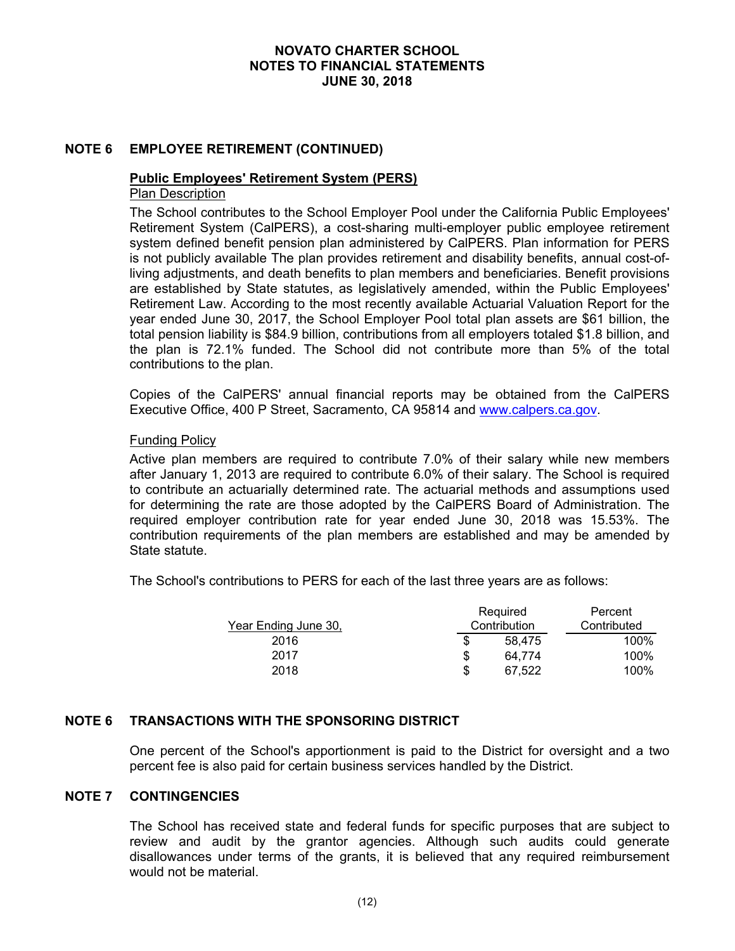## **NOTE 6 EMPLOYEE RETIREMENT (CONTINUED)**

## **Public Employees' Retirement System (PERS)**

# Plan Description

The School contributes to the School Employer Pool under the California Public Employees' Retirement System (CalPERS), a cost-sharing multi-employer public employee retirement system defined benefit pension plan administered by CalPERS. Plan information for PERS is not publicly available The plan provides retirement and disability benefits, annual cost-ofliving adjustments, and death benefits to plan members and beneficiaries. Benefit provisions are established by State statutes, as legislatively amended, within the Public Employees' Retirement Law. According to the most recently available Actuarial Valuation Report for the year ended June 30, 2017, the School Employer Pool total plan assets are \$61 billion, the total pension liability is \$84.9 billion, contributions from all employers totaled \$1.8 billion, and the plan is 72.1% funded. The School did not contribute more than 5% of the total contributions to the plan.

Copies of the CalPERS' annual financial reports may be obtained from the CalPERS Executive Office, 400 P Street, Sacramento, CA 95814 and www.calpers.ca.gov.

#### Funding Policy

Active plan members are required to contribute 7.0% of their salary while new members after January 1, 2013 are required to contribute 6.0% of their salary. The School is required to contribute an actuarially determined rate. The actuarial methods and assumptions used for determining the rate are those adopted by the CalPERS Board of Administration. The required employer contribution rate for year ended June 30, 2018 was 15.53%. The contribution requirements of the plan members are established and may be amended by State statute.

The School's contributions to PERS for each of the last three years are as follows:

|                             |   | Required     | Percent     |
|-----------------------------|---|--------------|-------------|
| <u>Year Ending June 30,</u> |   | Contribution | Contributed |
| 2016                        | S | 58.475       | 100%        |
| 2017                        | S | 64.774       | 100%        |
| 2018                        | S | 67.522       | 100%        |

## **NOTE 6 TRANSACTIONS WITH THE SPONSORING DISTRICT**

One percent of the School's apportionment is paid to the District for oversight and a two percent fee is also paid for certain business services handled by the District.

#### **NOTE 7 CONTINGENCIES**

The School has received state and federal funds for specific purposes that are subject to review and audit by the grantor agencies. Although such audits could generate disallowances under terms of the grants, it is believed that any required reimbursement would not be material.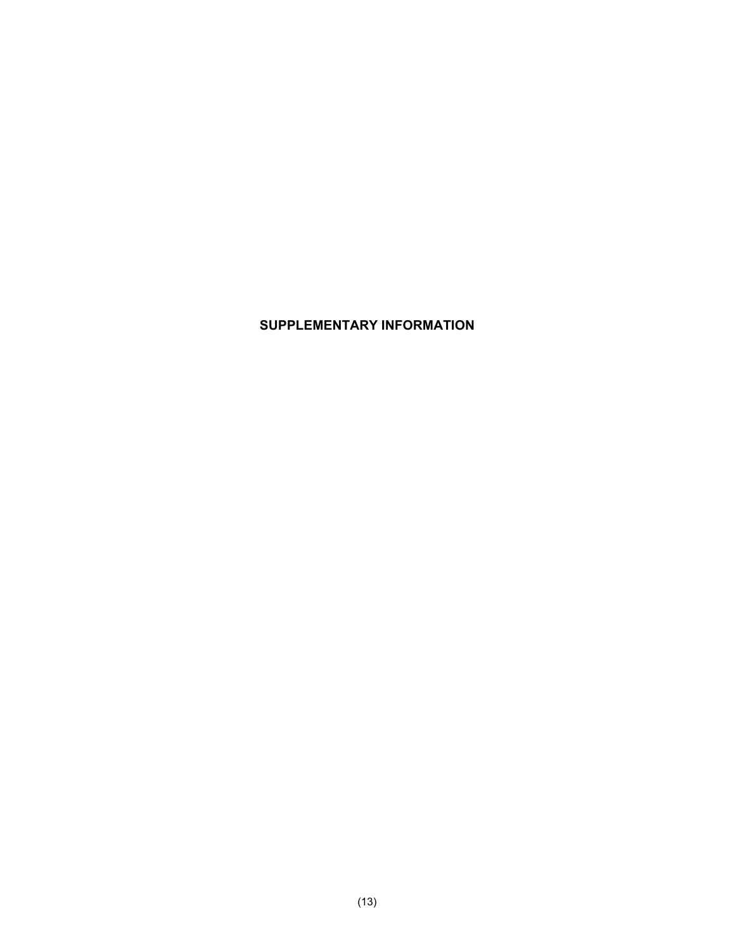# **SUPPLEMENTARY INFORMATION**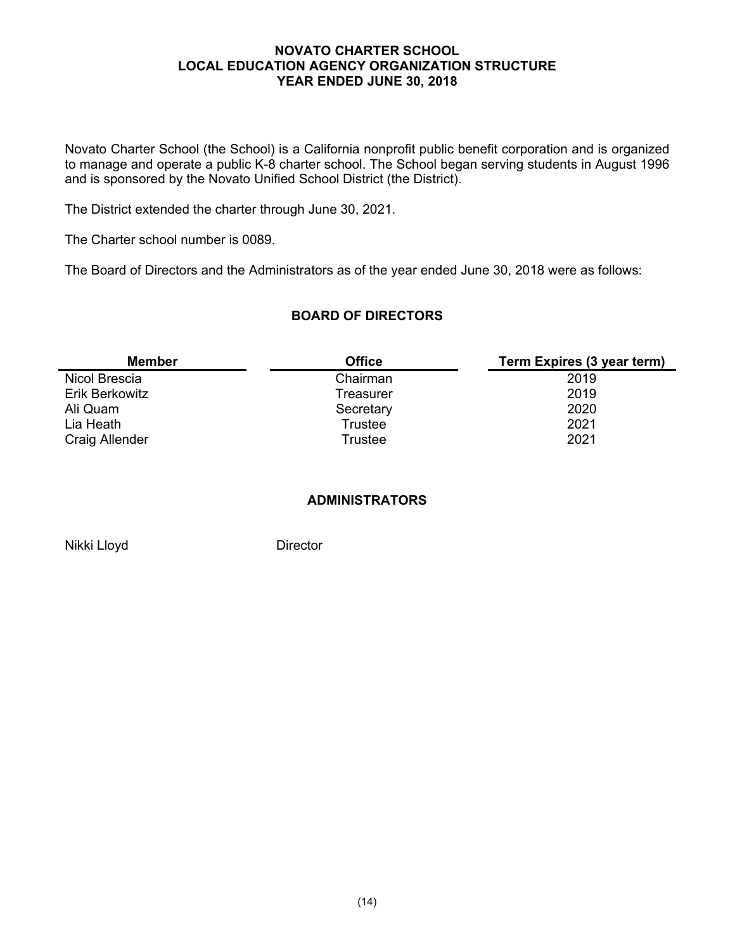#### **NOVATO CHARTER SCHOOL LOCAL EDUCATION AGENCY ORGANIZATION STRUCTURE YEAR ENDED JUNE 30, 2018**

Novato Charter School (the School) is a California nonprofit public benefit corporation and is organized to manage and operate a public K-8 charter school. The School began serving students in August 1996 and is sponsored by the Novato Unified School District (the District).

The District extended the charter through June 30, 2021.

The Charter school number is 0089.

The Board of Directors and the Administrators as of the year ended June 30, 2018 were as follows:

## **BOARD OF DIRECTORS**

| <b>Member</b>  | <b>Office</b> | Term Expires (3 year term) |
|----------------|---------------|----------------------------|
| Nicol Brescia  | Chairman      | 2019                       |
| Erik Berkowitz | Treasurer     | 2019                       |
| Ali Quam       | Secretary     | 2020                       |
| Lia Heath      | Trustee       | 2021                       |
| Craig Allender | Trustee       | 2021                       |

## **ADMINISTRATORS**

Nikki Lloyd Director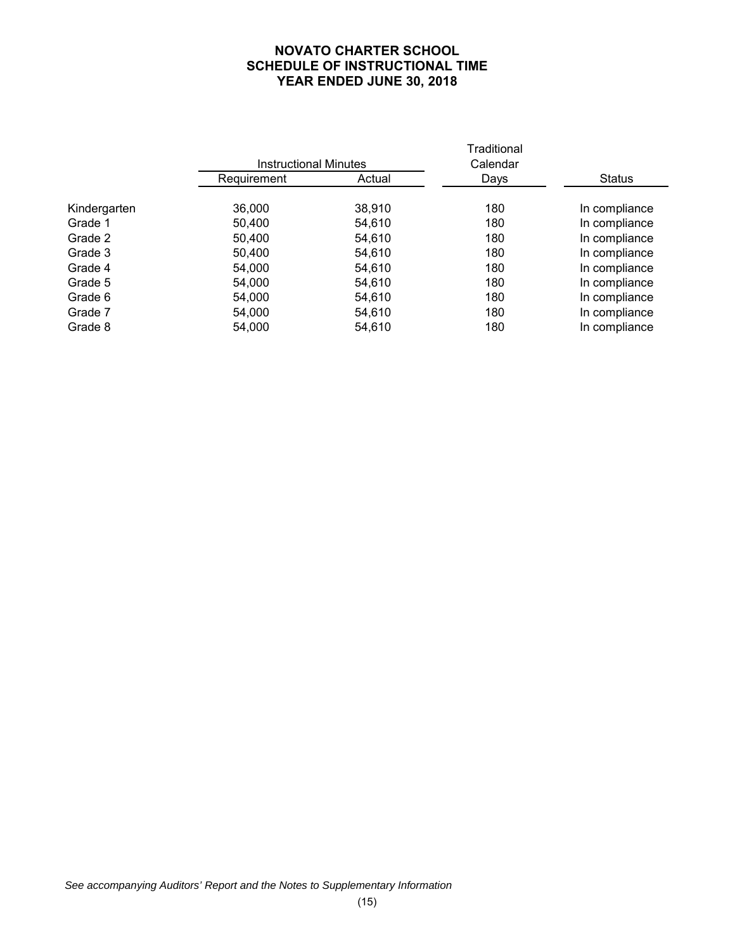## **NOVATO CHARTER SCHOOL SCHEDULE OF INSTRUCTIONAL TIME YEAR ENDED JUNE 30, 2018**

|             |        | Traditional<br>Calendar      |               |
|-------------|--------|------------------------------|---------------|
| Requirement | Actual | Days                         | <b>Status</b> |
| 36,000      | 38,910 | 180                          | In compliance |
| 50,400      | 54,610 | 180                          | In compliance |
| 50,400      | 54,610 | 180                          | In compliance |
| 50,400      | 54,610 | 180                          | In compliance |
| 54,000      | 54,610 | 180                          | In compliance |
| 54,000      | 54,610 | 180                          | In compliance |
| 54,000      | 54,610 | 180                          | In compliance |
| 54,000      | 54,610 | 180                          | In compliance |
| 54,000      | 54,610 | 180                          | In compliance |
|             |        | <b>Instructional Minutes</b> |               |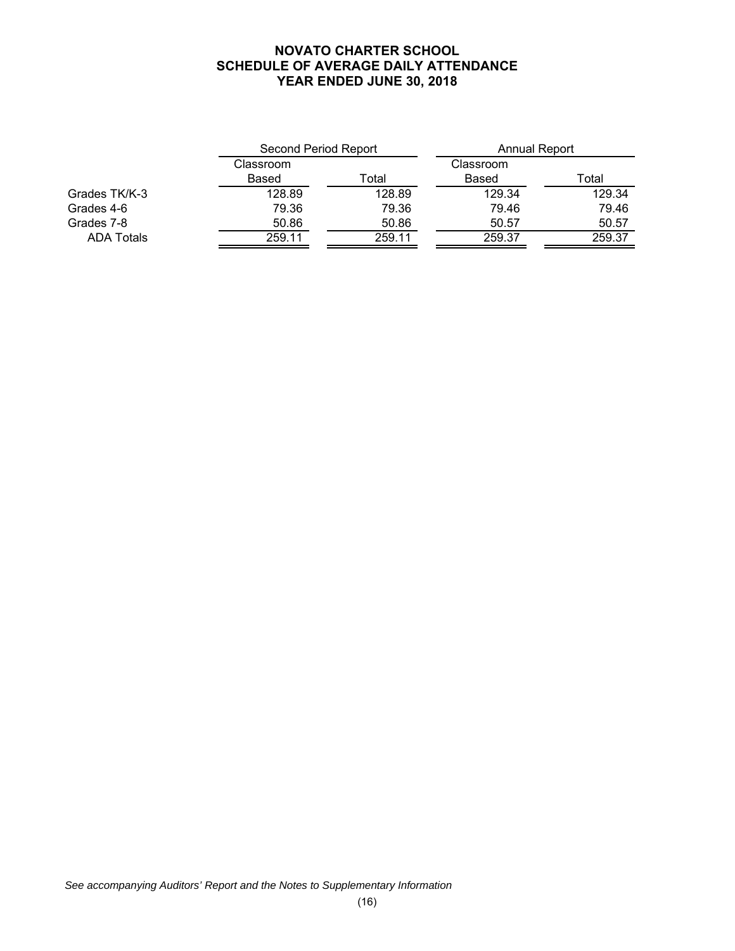#### **NOVATO CHARTER SCHOOL SCHEDULE OF AVERAGE DAILY ATTENDANCE YEAR ENDED JUNE 30, 2018**

|                   | Second Period Report |        | Annual Report |        |
|-------------------|----------------------|--------|---------------|--------|
|                   | Classroom            |        | Classroom     |        |
|                   | Based                | Total  | Based         | Total  |
| Grades TK/K-3     | 128.89               | 128.89 | 129.34        | 129.34 |
| Grades 4-6        | 79.36                | 79.36  | 79.46         | 79.46  |
| Grades 7-8        | 50.86                | 50.86  | 50.57         | 50.57  |
| <b>ADA Totals</b> | 259.11               | 259.11 | 259.37        | 259.37 |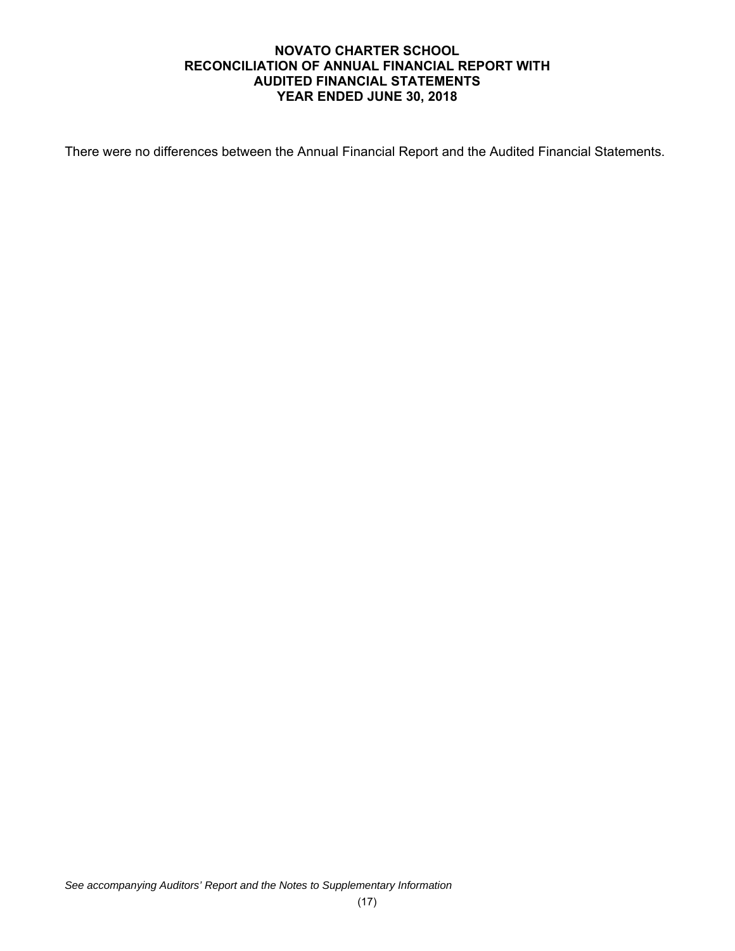## **NOVATO CHARTER SCHOOL RECONCILIATION OF ANNUAL FINANCIAL REPORT WITH AUDITED FINANCIAL STATEMENTS YEAR ENDED JUNE 30, 2018**

There were no differences between the Annual Financial Report and the Audited Financial Statements.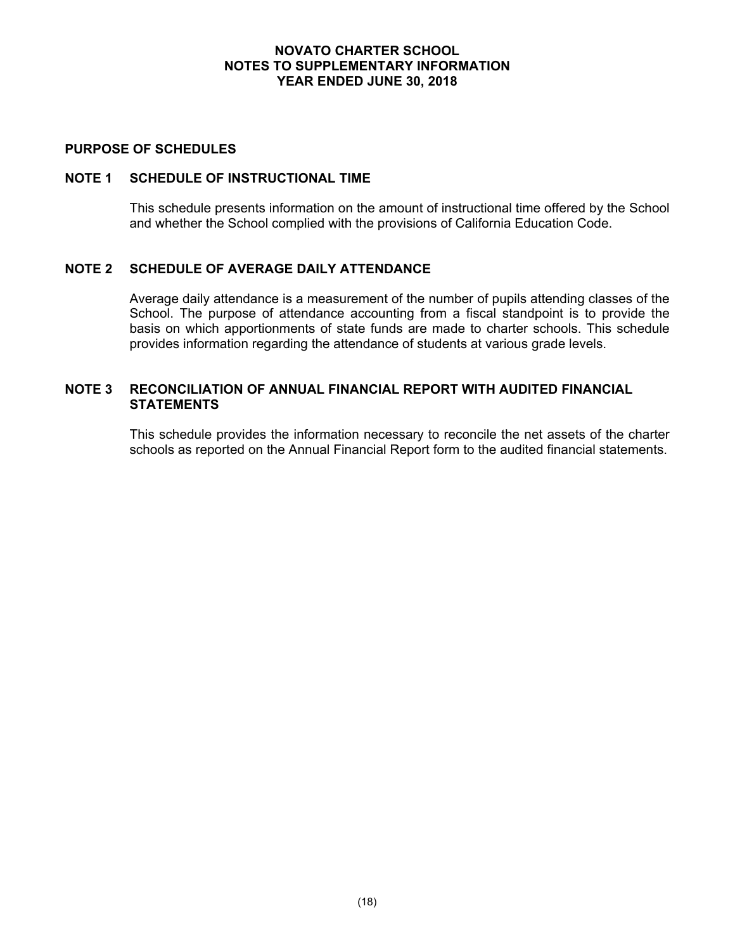#### **NOVATO CHARTER SCHOOL NOTES TO SUPPLEMENTARY INFORMATION YEAR ENDED JUNE 30, 2018**

#### **PURPOSE OF SCHEDULES**

## **NOTE 1 SCHEDULE OF INSTRUCTIONAL TIME**

This schedule presents information on the amount of instructional time offered by the School and whether the School complied with the provisions of California Education Code.

## **NOTE 2 SCHEDULE OF AVERAGE DAILY ATTENDANCE**

Average daily attendance is a measurement of the number of pupils attending classes of the School. The purpose of attendance accounting from a fiscal standpoint is to provide the basis on which apportionments of state funds are made to charter schools. This schedule provides information regarding the attendance of students at various grade levels.

## **NOTE 3 RECONCILIATION OF ANNUAL FINANCIAL REPORT WITH AUDITED FINANCIAL STATEMENTS**

This schedule provides the information necessary to reconcile the net assets of the charter schools as reported on the Annual Financial Report form to the audited financial statements.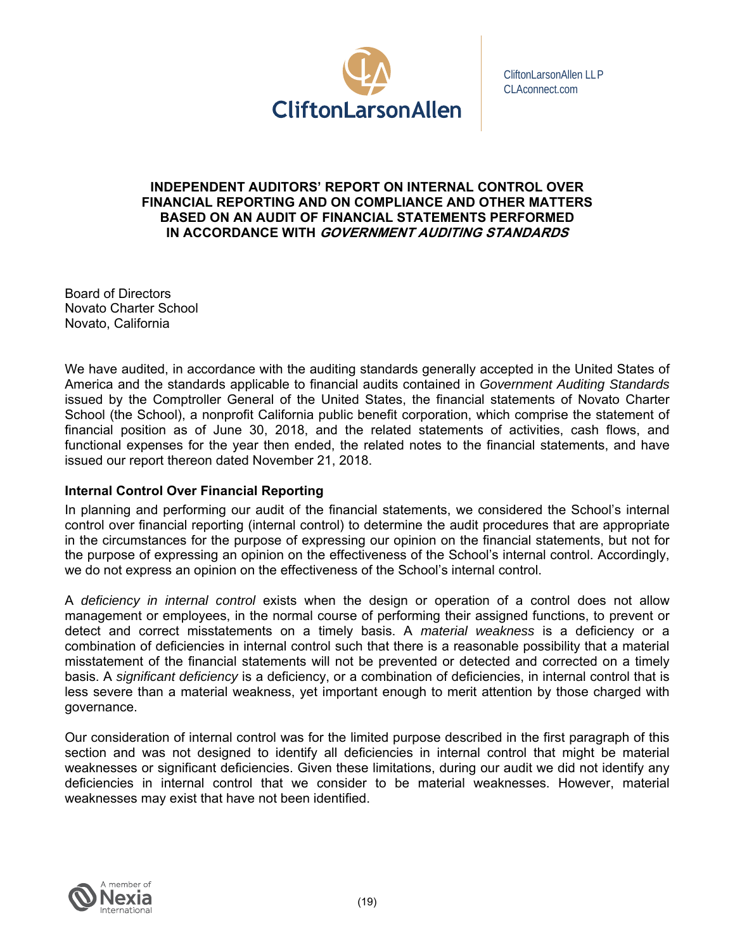

## **INDEPENDENT AUDITORS' REPORT ON INTERNAL CONTROL OVER FINANCIAL REPORTING AND ON COMPLIANCE AND OTHER MATTERS BASED ON AN AUDIT OF FINANCIAL STATEMENTS PERFORMED IN ACCORDANCE WITH GOVERNMENT AUDITING STANDARDS**

Board of Directors Novato Charter School Novato, California

We have audited, in accordance with the auditing standards generally accepted in the United States of America and the standards applicable to financial audits contained in *Government Auditing Standards*  issued by the Comptroller General of the United States, the financial statements of Novato Charter School (the School), a nonprofit California public benefit corporation, which comprise the statement of financial position as of June 30, 2018, and the related statements of activities, cash flows, and functional expenses for the year then ended, the related notes to the financial statements, and have issued our report thereon dated November 21, 2018.

## **Internal Control Over Financial Reporting**

In planning and performing our audit of the financial statements, we considered the School's internal control over financial reporting (internal control) to determine the audit procedures that are appropriate in the circumstances for the purpose of expressing our opinion on the financial statements, but not for the purpose of expressing an opinion on the effectiveness of the School's internal control. Accordingly, we do not express an opinion on the effectiveness of the School's internal control.

A *deficiency in internal control* exists when the design or operation of a control does not allow management or employees, in the normal course of performing their assigned functions, to prevent or detect and correct misstatements on a timely basis. A *material weakness* is a deficiency or a combination of deficiencies in internal control such that there is a reasonable possibility that a material misstatement of the financial statements will not be prevented or detected and corrected on a timely basis. A *significant deficiency* is a deficiency, or a combination of deficiencies, in internal control that is less severe than a material weakness, yet important enough to merit attention by those charged with governance.

Our consideration of internal control was for the limited purpose described in the first paragraph of this section and was not designed to identify all deficiencies in internal control that might be material weaknesses or significant deficiencies. Given these limitations, during our audit we did not identify any deficiencies in internal control that we consider to be material weaknesses. However, material weaknesses may exist that have not been identified.

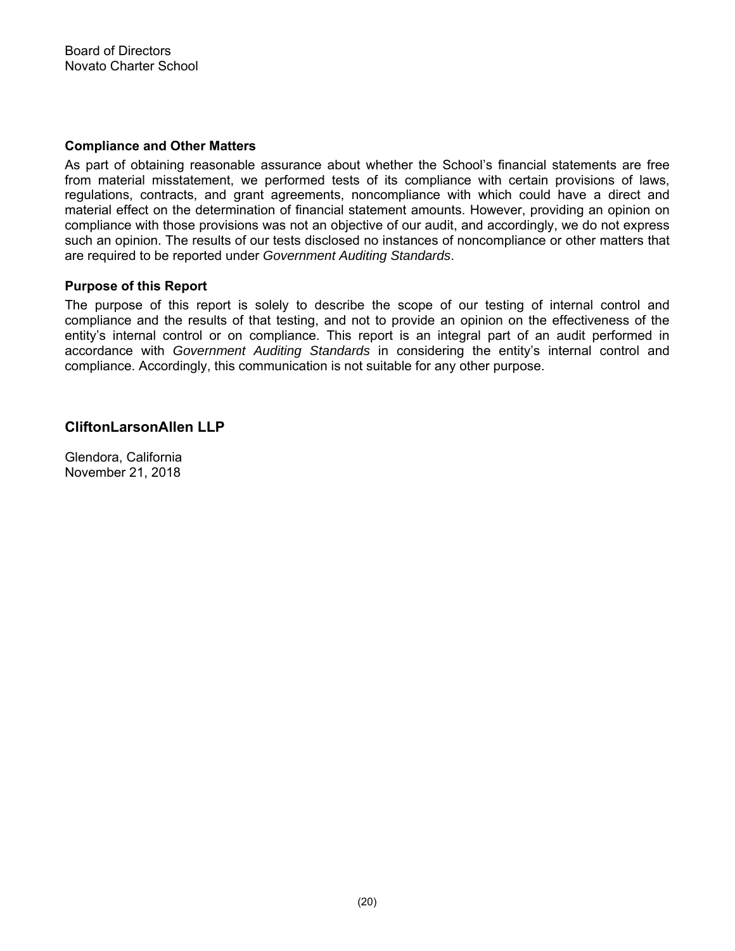### **Compliance and Other Matters**

As part of obtaining reasonable assurance about whether the School's financial statements are free from material misstatement, we performed tests of its compliance with certain provisions of laws, regulations, contracts, and grant agreements, noncompliance with which could have a direct and material effect on the determination of financial statement amounts. However, providing an opinion on compliance with those provisions was not an objective of our audit, and accordingly, we do not express such an opinion. The results of our tests disclosed no instances of noncompliance or other matters that are required to be reported under *Government Auditing Standards*.

## **Purpose of this Report**

The purpose of this report is solely to describe the scope of our testing of internal control and compliance and the results of that testing, and not to provide an opinion on the effectiveness of the entity's internal control or on compliance. This report is an integral part of an audit performed in accordance with *Government Auditing Standards* in considering the entity's internal control and compliance. Accordingly, this communication is not suitable for any other purpose.

## **CliftonLarsonAllen LLP**

Glendora, California November 21, 2018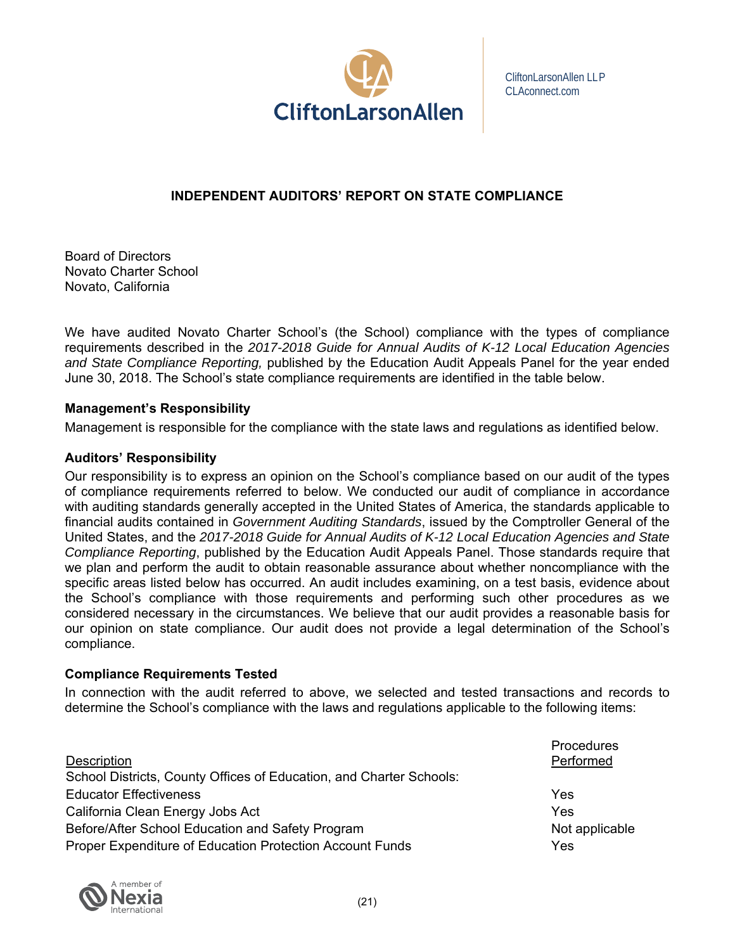

## **INDEPENDENT AUDITORS' REPORT ON STATE COMPLIANCE**

Board of Directors Novato Charter School Novato, California

We have audited Novato Charter School's (the School) compliance with the types of compliance requirements described in the *2017-2018 Guide for Annual Audits of K-12 Local Education Agencies and State Compliance Reporting,* published by the Education Audit Appeals Panel for the year ended June 30, 2018. The School's state compliance requirements are identified in the table below.

## **Management's Responsibility**

Management is responsible for the compliance with the state laws and regulations as identified below.

## **Auditors' Responsibility**

Our responsibility is to express an opinion on the School's compliance based on our audit of the types of compliance requirements referred to below. We conducted our audit of compliance in accordance with auditing standards generally accepted in the United States of America, the standards applicable to financial audits contained in *Government Auditing Standards*, issued by the Comptroller General of the United States, and the *2017-2018 Guide for Annual Audits of K-12 Local Education Agencies and State Compliance Reporting*, published by the Education Audit Appeals Panel. Those standards require that we plan and perform the audit to obtain reasonable assurance about whether noncompliance with the specific areas listed below has occurred. An audit includes examining, on a test basis, evidence about the School's compliance with those requirements and performing such other procedures as we considered necessary in the circumstances. We believe that our audit provides a reasonable basis for our opinion on state compliance. Our audit does not provide a legal determination of the School's compliance.

## **Compliance Requirements Tested**

In connection with the audit referred to above, we selected and tested transactions and records to determine the School's compliance with the laws and regulations applicable to the following items:

| Description                                                         | Procedures<br>Performed |
|---------------------------------------------------------------------|-------------------------|
| School Districts, County Offices of Education, and Charter Schools: |                         |
| <b>Educator Effectiveness</b>                                       | Yes                     |
| California Clean Energy Jobs Act                                    | Yes                     |
| Before/After School Education and Safety Program                    | Not applicable          |
| Proper Expenditure of Education Protection Account Funds            | Yes                     |

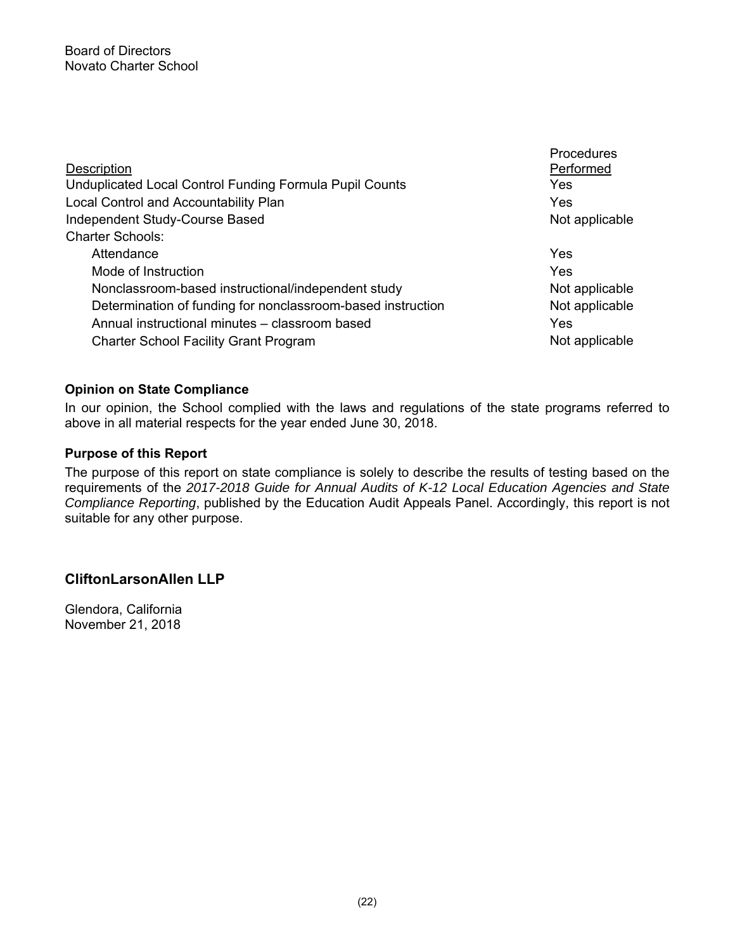|                                                             | <b>Procedures</b> |
|-------------------------------------------------------------|-------------------|
| <b>Description</b>                                          | Performed         |
| Unduplicated Local Control Funding Formula Pupil Counts     | Yes               |
| Local Control and Accountability Plan                       | Yes               |
| Independent Study-Course Based                              | Not applicable    |
| <b>Charter Schools:</b>                                     |                   |
| Attendance                                                  | Yes               |
| Mode of Instruction                                         | Yes               |
| Nonclassroom-based instructional/independent study          | Not applicable    |
| Determination of funding for nonclassroom-based instruction | Not applicable    |
| Annual instructional minutes - classroom based              | Yes               |
| <b>Charter School Facility Grant Program</b>                | Not applicable    |

## **Opinion on State Compliance**

In our opinion, the School complied with the laws and regulations of the state programs referred to above in all material respects for the year ended June 30, 2018.

## **Purpose of this Report**

The purpose of this report on state compliance is solely to describe the results of testing based on the requirements of the *2017-2018 Guide for Annual Audits of K-12 Local Education Agencies and State Compliance Reporting*, published by the Education Audit Appeals Panel. Accordingly, this report is not suitable for any other purpose.

## **CliftonLarsonAllen LLP**

Glendora, California November 21, 2018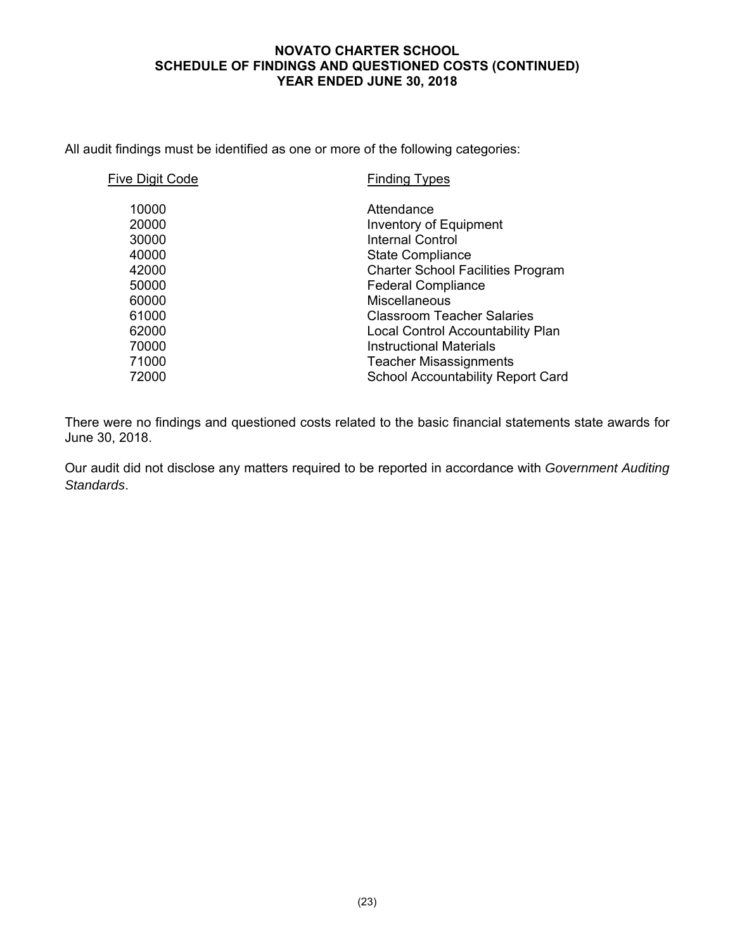#### **NOVATO CHARTER SCHOOL SCHEDULE OF FINDINGS AND QUESTIONED COSTS (CONTINUED) YEAR ENDED JUNE 30, 2018**

All audit findings must be identified as one or more of the following categories:

| Five Digit Code | <b>Finding Types</b>                     |
|-----------------|------------------------------------------|
| 10000           | Attendance                               |
| 20000           | Inventory of Equipment                   |
| 30000           | Internal Control                         |
| 40000           | <b>State Compliance</b>                  |
| 42000           | <b>Charter School Facilities Program</b> |
| 50000           | <b>Federal Compliance</b>                |
| 60000           | <b>Miscellaneous</b>                     |
| 61000           | <b>Classroom Teacher Salaries</b>        |
| 62000           | Local Control Accountability Plan        |
| 70000           | <b>Instructional Materials</b>           |
| 71000           | <b>Teacher Misassignments</b>            |
| 72000           | <b>School Accountability Report Card</b> |
|                 |                                          |

There were no findings and questioned costs related to the basic financial statements state awards for June 30, 2018.

Our audit did not disclose any matters required to be reported in accordance with *Government Auditing Standards*.